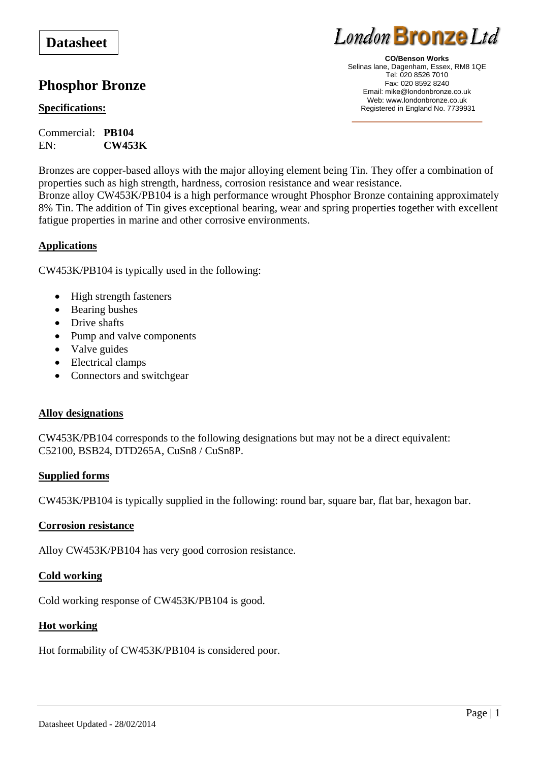# **Datasheet**

# **Phosphor Bronze**

# **Specifications:**

Commercial: **PB104** EN: **CW453K**



**CO/Benson Works**  Selinas lane, Dagenham, Essex, RM8 1QE Tel: 020 8526 7010 Fax: 020 8592 8240 Email: mike@londonbronze.co.uk Web: www.londonbronze.co.uk Registered in England No. 7739931

Bronzes are copper-based alloys with the major alloying element being Tin. They offer a combination of properties such as high strength, hardness, corrosion resistance and wear resistance. Bronze alloy CW453K/PB104 is a high performance wrought Phosphor Bronze containing approximately 8% Tin. The addition of Tin gives exceptional bearing, wear and spring properties together with excellent fatigue properties in marine and other corrosive environments.

# **Applications**

CW453K/PB104 is typically used in the following:

- High strength fasteners
- Bearing bushes
- Drive shafts
- Pump and valve components
- Valve guides
- Electrical clamps
- Connectors and switchgear

### **Alloy designations**

CW453K/PB104 corresponds to the following designations but may not be a direct equivalent: C52100, BSB24, DTD265A, CuSn8 / CuSn8P.

### **Supplied forms**

CW453K/PB104 is typically supplied in the following: round bar, square bar, flat bar, hexagon bar.

### **Corrosion resistance**

Alloy CW453K/PB104 has very good corrosion resistance.

### **Cold working**

Cold working response of CW453K/PB104 is good.

### **Hot working**

Hot formability of CW453K/PB104 is considered poor.